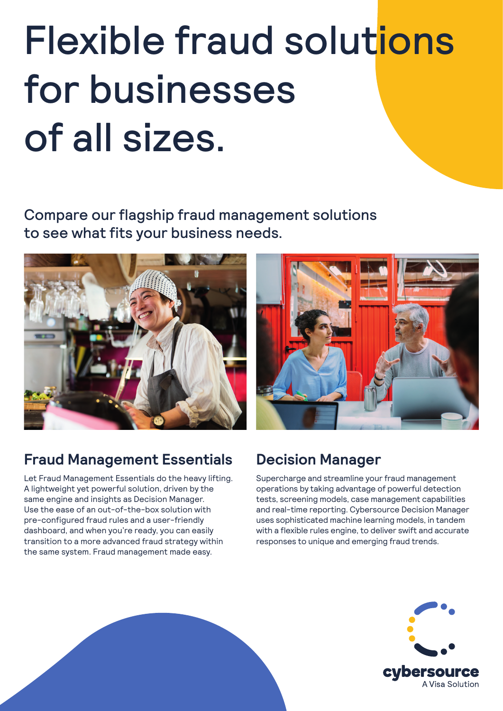# Flexible fraud solutions for businesses of all sizes.

Compare our flagship fraud management solutions to see what fits your business needs.



### **Fraud Management Essentials**

Let Fraud Management Essentials do the heavy lifting. A lightweight yet powerful solution, driven by the same engine and insights as Decision Manager. Use the ease of an out-of-the-box solution with pre-configured fraud rules and a user-friendly dashboard, and when you're ready, you can easily transition to a more advanced fraud strategy within the same system. Fraud management made easy.



### **Decision Manager**

Supercharge and streamline your fraud management operations by taking advantage of powerful detection tests, screening models, case management capabilities and real-time reporting. Cybersource Decision Manager uses sophisticated machine learning models, in tandem with a flexible rules engine, to deliver swift and accurate responses to unique and emerging fraud trends.